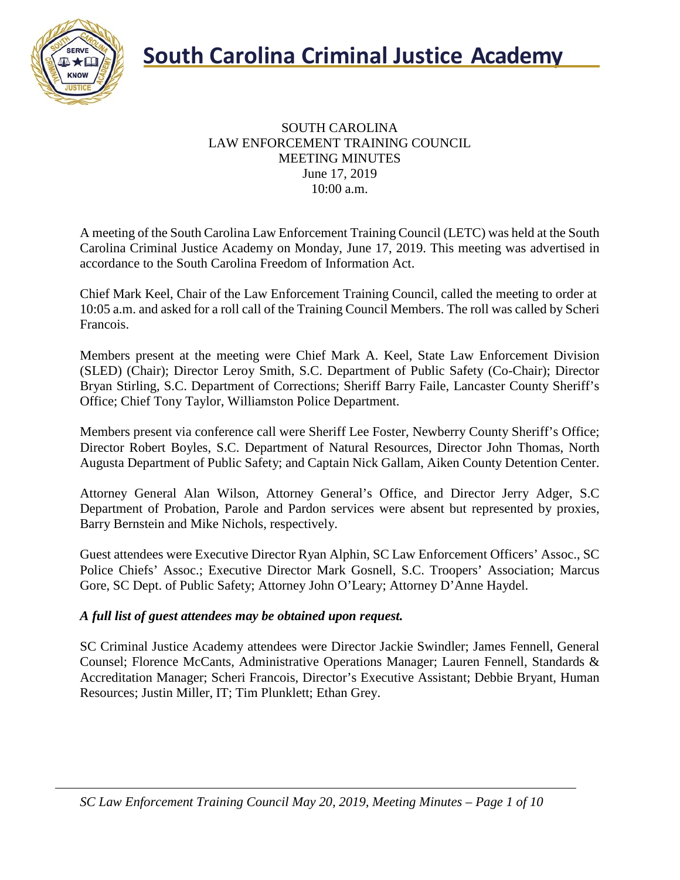

## **South Carolina Criminal Justice Academy**<br>KNOW 2008

#### SOUTH CAROLINA LAW ENFORCEMENT TRAINING COUNCIL MEETING MINUTES June 17, 2019 10:00 a.m.

A meeting of the South Carolina Law Enforcement Training Council (LETC) was held at the South Carolina Criminal Justice Academy on Monday, June 17, 2019. This meeting was advertised in accordance to the South Carolina Freedom of Information Act.

Chief Mark Keel, Chair of the Law Enforcement Training Council, called the meeting to order at 10:05 a.m. and asked for a roll call of the Training Council Members. The roll was called by Scheri Francois.

Members present at the meeting were Chief Mark A. Keel, State Law Enforcement Division (SLED) (Chair); Director Leroy Smith, S.C. Department of Public Safety (Co-Chair); Director Bryan Stirling, S.C. Department of Corrections; Sheriff Barry Faile, Lancaster County Sheriff's Office; Chief Tony Taylor, Williamston Police Department.

Members present via conference call were Sheriff Lee Foster, Newberry County Sheriff's Office; Director Robert Boyles, S.C. Department of Natural Resources, Director John Thomas, North Augusta Department of Public Safety; and Captain Nick Gallam, Aiken County Detention Center.

Attorney General Alan Wilson, Attorney General's Office, and Director Jerry Adger, S.C Department of Probation, Parole and Pardon services were absent but represented by proxies, Barry Bernstein and Mike Nichols, respectively.

Guest attendees were Executive Director Ryan Alphin, SC Law Enforcement Officers' Assoc., SC Police Chiefs' Assoc.; Executive Director Mark Gosnell, S.C. Troopers' Association; Marcus Gore, SC Dept. of Public Safety; Attorney John O'Leary; Attorney D'Anne Haydel.

## *A full list of guest attendees may be obtained upon request.*

SC Criminal Justice Academy attendees were Director Jackie Swindler; James Fennell, General Counsel; Florence McCants, Administrative Operations Manager; Lauren Fennell, Standards & Accreditation Manager; Scheri Francois, Director's Executive Assistant; Debbie Bryant, Human Resources; Justin Miller, IT; Tim Plunklett; Ethan Grey.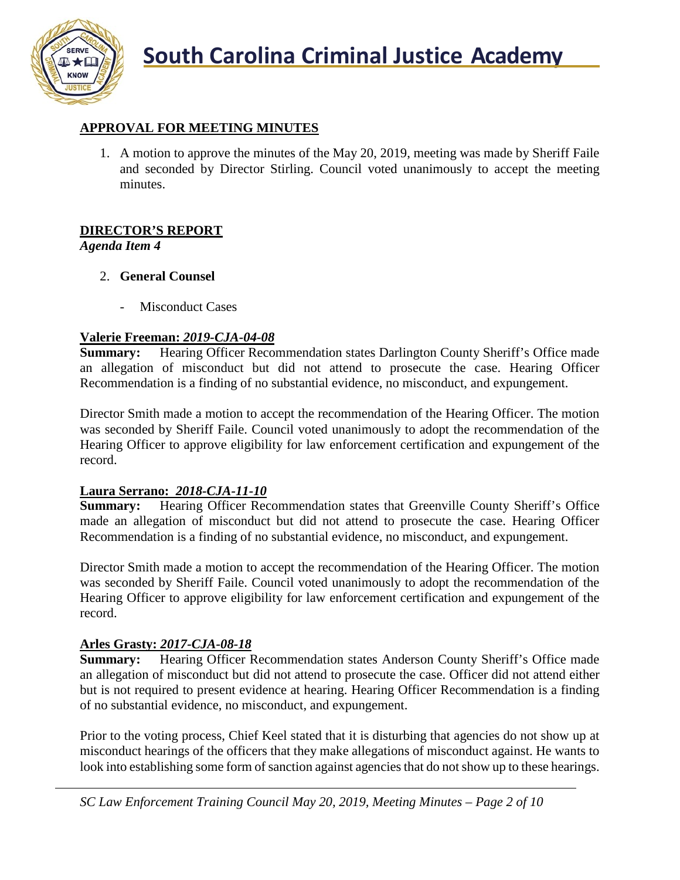

## **APPROVAL FOR MEETING MINUTES**

1. A motion to approve the minutes of the May 20, 2019, meeting was made by Sheriff Faile and seconded by Director Stirling. Council voted unanimously to accept the meeting minutes.

## **DIRECTOR'S REPORT**

*Agenda Item 4*

- 2. **General Counsel**
	- Misconduct Cases

## **Valerie Freeman:** *2019-CJA-04-08*

**Summary:** Hearing Officer Recommendation states Darlington County Sheriff's Office made an allegation of misconduct but did not attend to prosecute the case. Hearing Officer Recommendation is a finding of no substantial evidence, no misconduct, and expungement.

Director Smith made a motion to accept the recommendation of the Hearing Officer. The motion was seconded by Sheriff Faile. Council voted unanimously to adopt the recommendation of the Hearing Officer to approve eligibility for law enforcement certification and expungement of the record.

## **Laura Serrano:** *2018-CJA-11-10*

**Summary:** Hearing Officer Recommendation states that Greenville County Sheriff's Office made an allegation of misconduct but did not attend to prosecute the case. Hearing Officer Recommendation is a finding of no substantial evidence, no misconduct, and expungement.

Director Smith made a motion to accept the recommendation of the Hearing Officer. The motion was seconded by Sheriff Faile. Council voted unanimously to adopt the recommendation of the Hearing Officer to approve eligibility for law enforcement certification and expungement of the record.

## **Arles Grasty:** *2017-CJA-08-18*

**Summary:** Hearing Officer Recommendation states Anderson County Sheriff's Office made an allegation of misconduct but did not attend to prosecute the case. Officer did not attend either but is not required to present evidence at hearing. Hearing Officer Recommendation is a finding of no substantial evidence, no misconduct, and expungement.

Prior to the voting process, Chief Keel stated that it is disturbing that agencies do not show up at misconduct hearings of the officers that they make allegations of misconduct against. He wants to look into establishing some form of sanction against agencies that do not show up to these hearings.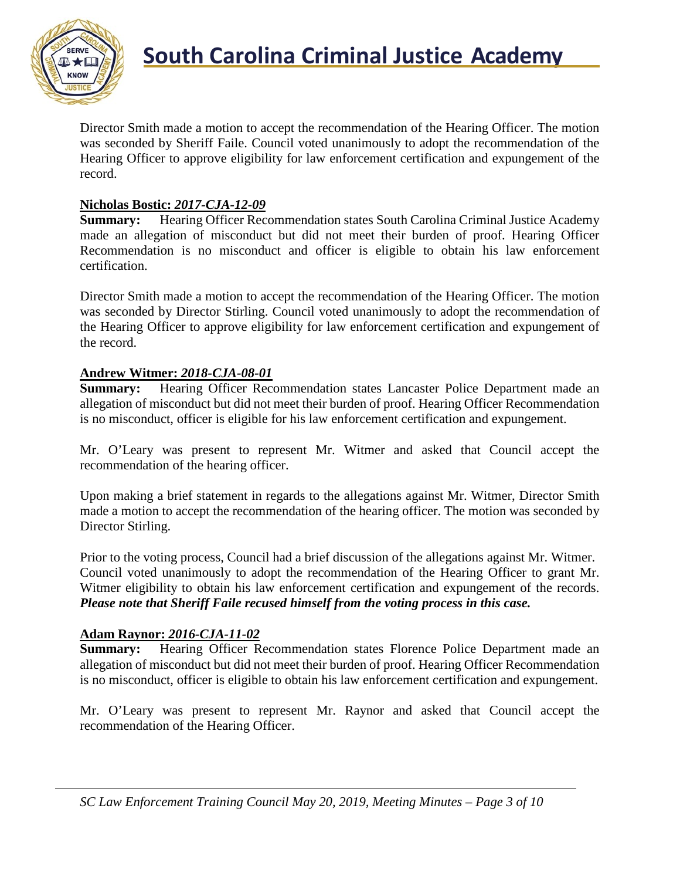

Director Smith made a motion to accept the recommendation of the Hearing Officer. The motion was seconded by Sheriff Faile. Council voted unanimously to adopt the recommendation of the Hearing Officer to approve eligibility for law enforcement certification and expungement of the record.

## **Nicholas Bostic:** *2017-CJA-12-09*

**Summary:** Hearing Officer Recommendation states South Carolina Criminal Justice Academy made an allegation of misconduct but did not meet their burden of proof. Hearing Officer Recommendation is no misconduct and officer is eligible to obtain his law enforcement certification.

Director Smith made a motion to accept the recommendation of the Hearing Officer. The motion was seconded by Director Stirling. Council voted unanimously to adopt the recommendation of the Hearing Officer to approve eligibility for law enforcement certification and expungement of the record.

#### **Andrew Witmer:** *2018-CJA-08-01*

**Summary:** Hearing Officer Recommendation states Lancaster Police Department made an allegation of misconduct but did not meet their burden of proof. Hearing Officer Recommendation is no misconduct, officer is eligible for his law enforcement certification and expungement.

Mr. O'Leary was present to represent Mr. Witmer and asked that Council accept the recommendation of the hearing officer.

Upon making a brief statement in regards to the allegations against Mr. Witmer, Director Smith made a motion to accept the recommendation of the hearing officer. The motion was seconded by Director Stirling.

Prior to the voting process, Council had a brief discussion of the allegations against Mr. Witmer. Council voted unanimously to adopt the recommendation of the Hearing Officer to grant Mr. Witmer eligibility to obtain his law enforcement certification and expungement of the records. *Please note that Sheriff Faile recused himself from the voting process in this case.*

#### **Adam Raynor:** *2016-CJA-11-02*

**Summary:** Hearing Officer Recommendation states Florence Police Department made an allegation of misconduct but did not meet their burden of proof. Hearing Officer Recommendation is no misconduct, officer is eligible to obtain his law enforcement certification and expungement.

Mr. O'Leary was present to represent Mr. Raynor and asked that Council accept the recommendation of the Hearing Officer.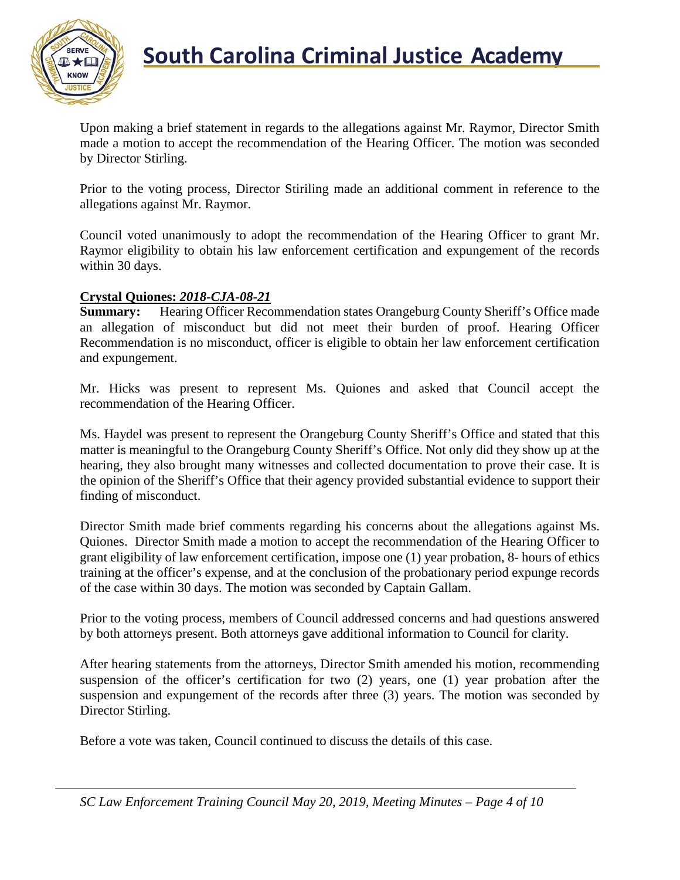

Upon making a brief statement in regards to the allegations against Mr. Raymor, Director Smith made a motion to accept the recommendation of the Hearing Officer. The motion was seconded by Director Stirling.

Prior to the voting process, Director Stiriling made an additional comment in reference to the allegations against Mr. Raymor.

Council voted unanimously to adopt the recommendation of the Hearing Officer to grant Mr. Raymor eligibility to obtain his law enforcement certification and expungement of the records within 30 days.

#### **Crystal Quiones:** *2018-CJA-08-21*

**Summary:** Hearing Officer Recommendation states Orangeburg County Sheriff's Office made an allegation of misconduct but did not meet their burden of proof. Hearing Officer Recommendation is no misconduct, officer is eligible to obtain her law enforcement certification and expungement.

Mr. Hicks was present to represent Ms. Quiones and asked that Council accept the recommendation of the Hearing Officer.

Ms. Haydel was present to represent the Orangeburg County Sheriff's Office and stated that this matter is meaningful to the Orangeburg County Sheriff's Office. Not only did they show up at the hearing, they also brought many witnesses and collected documentation to prove their case. It is the opinion of the Sheriff's Office that their agency provided substantial evidence to support their finding of misconduct.

Director Smith made brief comments regarding his concerns about the allegations against Ms. Quiones. Director Smith made a motion to accept the recommendation of the Hearing Officer to grant eligibility of law enforcement certification, impose one (1) year probation, 8- hours of ethics training at the officer's expense, and at the conclusion of the probationary period expunge records of the case within 30 days. The motion was seconded by Captain Gallam.

Prior to the voting process, members of Council addressed concerns and had questions answered by both attorneys present. Both attorneys gave additional information to Council for clarity.

After hearing statements from the attorneys, Director Smith amended his motion, recommending suspension of the officer's certification for two (2) years, one (1) year probation after the suspension and expungement of the records after three (3) years. The motion was seconded by Director Stirling.

Before a vote was taken, Council continued to discuss the details of this case.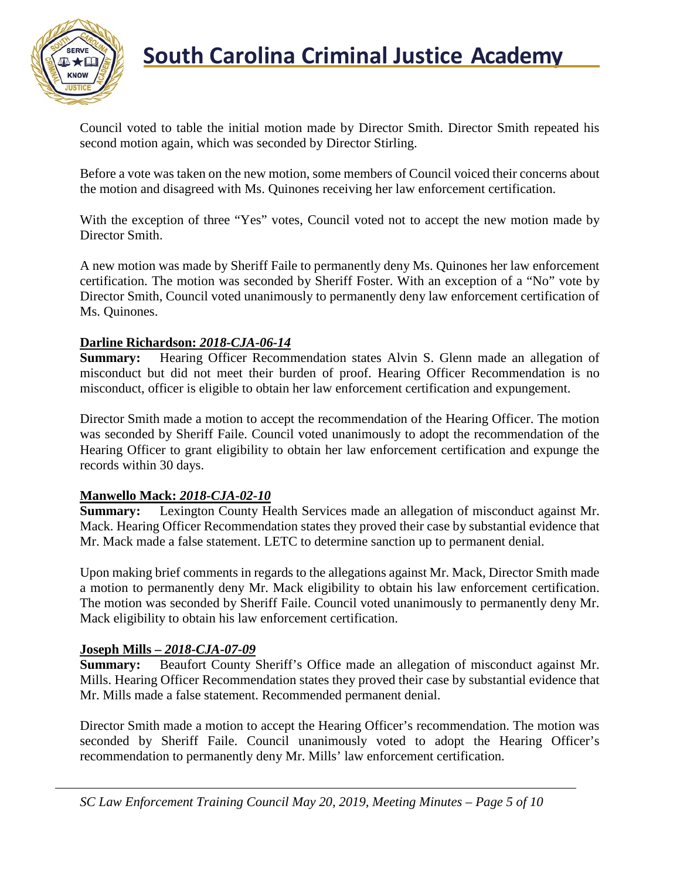

## **South Carolina Criminal Justice Academy**<br>KNOW 2008

Council voted to table the initial motion made by Director Smith. Director Smith repeated his second motion again, which was seconded by Director Stirling.

Before a vote was taken on the new motion, some members of Council voiced their concerns about the motion and disagreed with Ms. Quinones receiving her law enforcement certification.

With the exception of three "Yes" votes, Council voted not to accept the new motion made by Director Smith.

A new motion was made by Sheriff Faile to permanently deny Ms. Quinones her law enforcement certification. The motion was seconded by Sheriff Foster. With an exception of a "No" vote by Director Smith, Council voted unanimously to permanently deny law enforcement certification of Ms. Quinones.

#### **Darline Richardson:** *2018-CJA-06-14*

**Summary:** Hearing Officer Recommendation states Alvin S. Glenn made an allegation of misconduct but did not meet their burden of proof. Hearing Officer Recommendation is no misconduct, officer is eligible to obtain her law enforcement certification and expungement.

Director Smith made a motion to accept the recommendation of the Hearing Officer. The motion was seconded by Sheriff Faile. Council voted unanimously to adopt the recommendation of the Hearing Officer to grant eligibility to obtain her law enforcement certification and expunge the records within 30 days.

#### **Manwello Mack:** *2018-CJA-02-10*

**Summary:** Lexington County Health Services made an allegation of misconduct against Mr. Mack. Hearing Officer Recommendation states they proved their case by substantial evidence that Mr. Mack made a false statement. LETC to determine sanction up to permanent denial.

Upon making brief comments in regards to the allegations against Mr. Mack, Director Smith made a motion to permanently deny Mr. Mack eligibility to obtain his law enforcement certification. The motion was seconded by Sheriff Faile. Council voted unanimously to permanently deny Mr. Mack eligibility to obtain his law enforcement certification.

#### **Joseph Mills –** *2018-CJA-07-09*

**Summary:** Beaufort County Sheriff's Office made an allegation of misconduct against Mr. Mills. Hearing Officer Recommendation states they proved their case by substantial evidence that Mr. Mills made a false statement. Recommended permanent denial.

Director Smith made a motion to accept the Hearing Officer's recommendation. The motion was seconded by Sheriff Faile. Council unanimously voted to adopt the Hearing Officer's recommendation to permanently deny Mr. Mills' law enforcement certification.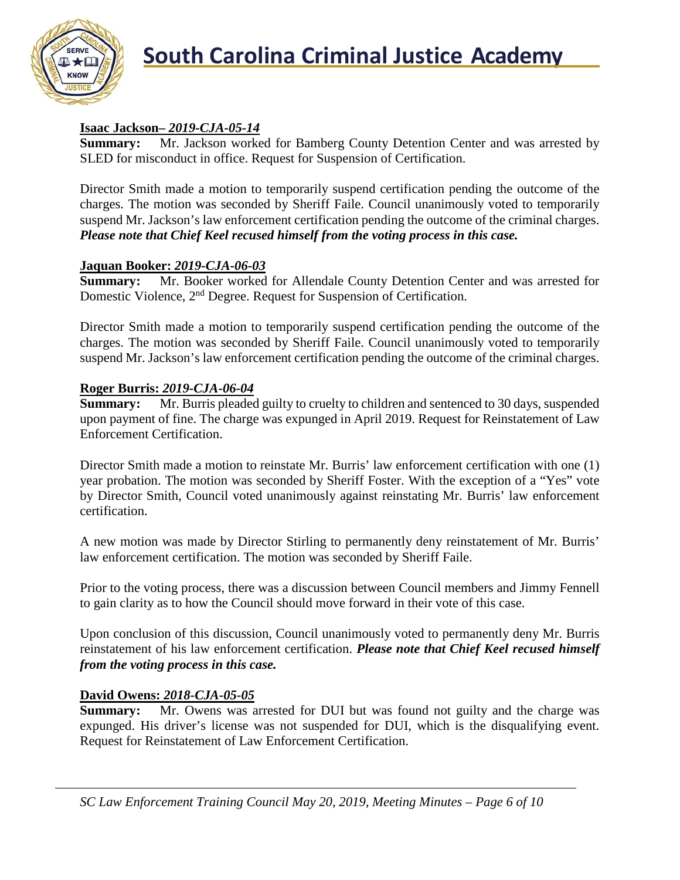

## **Isaac Jackson–** *2019-CJA-05-14*

**Summary:** Mr. Jackson worked for Bamberg County Detention Center and was arrested by SLED for misconduct in office. Request for Suspension of Certification.

Director Smith made a motion to temporarily suspend certification pending the outcome of the charges. The motion was seconded by Sheriff Faile. Council unanimously voted to temporarily suspend Mr. Jackson's law enforcement certification pending the outcome of the criminal charges. *Please note that Chief Keel recused himself from the voting process in this case.*

## **Jaquan Booker:** *2019-CJA-06-03*

**Summary:** Mr. Booker worked for Allendale County Detention Center and was arrested for Domestic Violence, 2nd Degree. Request for Suspension of Certification.

Director Smith made a motion to temporarily suspend certification pending the outcome of the charges. The motion was seconded by Sheriff Faile. Council unanimously voted to temporarily suspend Mr. Jackson's law enforcement certification pending the outcome of the criminal charges.

## **Roger Burris:** *2019-CJA-06-04*

**Summary:** Mr. Burris pleaded guilty to cruelty to children and sentenced to 30 days, suspended upon payment of fine. The charge was expunged in April 2019. Request for Reinstatement of Law Enforcement Certification.

Director Smith made a motion to reinstate Mr. Burris' law enforcement certification with one (1) year probation. The motion was seconded by Sheriff Foster. With the exception of a "Yes" vote by Director Smith, Council voted unanimously against reinstating Mr. Burris' law enforcement certification.

A new motion was made by Director Stirling to permanently deny reinstatement of Mr. Burris' law enforcement certification. The motion was seconded by Sheriff Faile.

Prior to the voting process, there was a discussion between Council members and Jimmy Fennell to gain clarity as to how the Council should move forward in their vote of this case.

Upon conclusion of this discussion, Council unanimously voted to permanently deny Mr. Burris reinstatement of his law enforcement certification. *Please note that Chief Keel recused himself from the voting process in this case.*

## **David Owens:** *2018-CJA-05-05*

**Summary:** Mr. Owens was arrested for DUI but was found not guilty and the charge was expunged. His driver's license was not suspended for DUI, which is the disqualifying event. Request for Reinstatement of Law Enforcement Certification.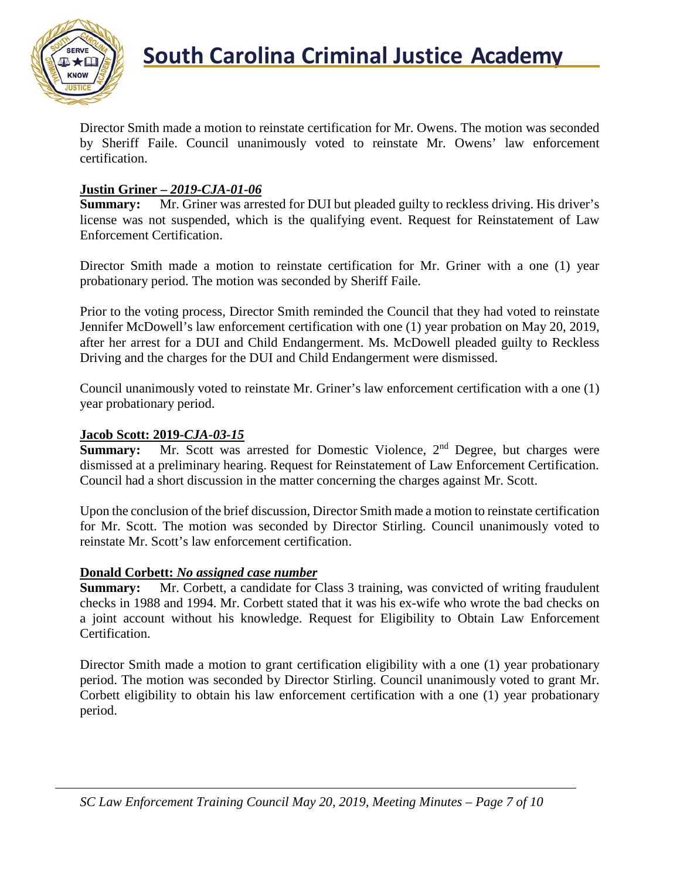

Director Smith made a motion to reinstate certification for Mr. Owens. The motion was seconded by Sheriff Faile. Council unanimously voted to reinstate Mr. Owens' law enforcement certification.

#### **Justin Griner –** *2019-CJA-01-06*

**Summary:** Mr. Griner was arrested for DUI but pleaded guilty to reckless driving. His driver's license was not suspended, which is the qualifying event. Request for Reinstatement of Law Enforcement Certification.

Director Smith made a motion to reinstate certification for Mr. Griner with a one (1) year probationary period. The motion was seconded by Sheriff Faile.

Prior to the voting process, Director Smith reminded the Council that they had voted to reinstate Jennifer McDowell's law enforcement certification with one (1) year probation on May 20, 2019, after her arrest for a DUI and Child Endangerment. Ms. McDowell pleaded guilty to Reckless Driving and the charges for the DUI and Child Endangerment were dismissed.

Council unanimously voted to reinstate Mr. Griner's law enforcement certification with a one (1) year probationary period.

#### **Jacob Scott: 2019-***CJA-03-15*

**Summary:** Mr. Scott was arrested for Domestic Violence, 2<sup>nd</sup> Degree, but charges were dismissed at a preliminary hearing. Request for Reinstatement of Law Enforcement Certification. Council had a short discussion in the matter concerning the charges against Mr. Scott.

Upon the conclusion of the brief discussion, Director Smith made a motion to reinstate certification for Mr. Scott. The motion was seconded by Director Stirling. Council unanimously voted to reinstate Mr. Scott's law enforcement certification.

#### **Donald Corbett:** *No assigned case number*

**Summary:** Mr. Corbett, a candidate for Class 3 training, was convicted of writing fraudulent checks in 1988 and 1994. Mr. Corbett stated that it was his ex-wife who wrote the bad checks on a joint account without his knowledge. Request for Eligibility to Obtain Law Enforcement Certification.

Director Smith made a motion to grant certification eligibility with a one (1) year probationary period. The motion was seconded by Director Stirling. Council unanimously voted to grant Mr. Corbett eligibility to obtain his law enforcement certification with a one (1) year probationary period.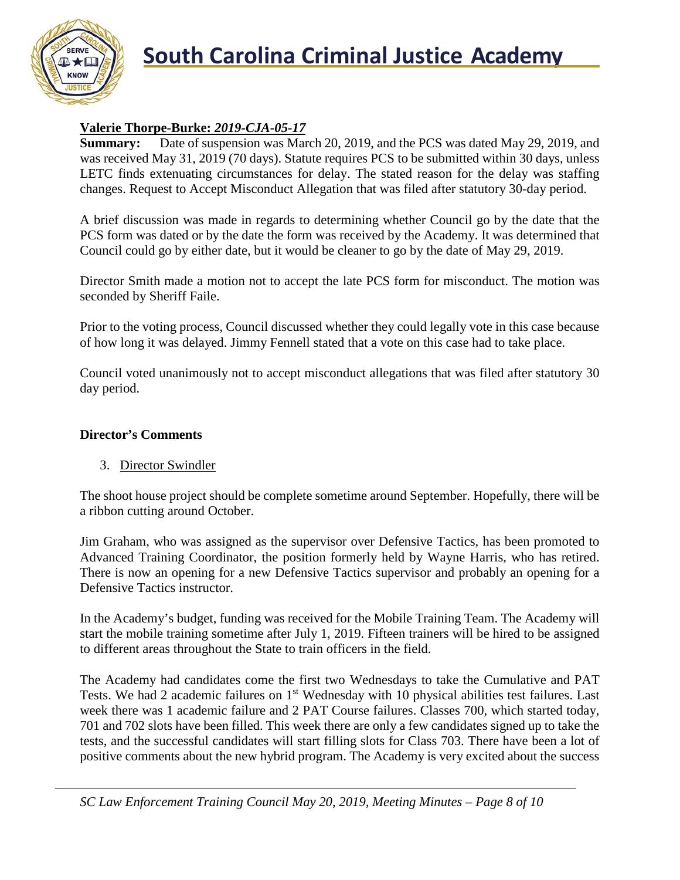

## **South Carolina Criminal Justice Academy**

## **Valerie Thorpe-Burke:** *2019-CJA-05-17*

**Summary:** Date of suspension was March 20, 2019, and the PCS was dated May 29, 2019, and was received May 31, 2019 (70 days). Statute requires PCS to be submitted within 30 days, unless LETC finds extenuating circumstances for delay. The stated reason for the delay was staffing changes. Request to Accept Misconduct Allegation that was filed after statutory 30-day period.

A brief discussion was made in regards to determining whether Council go by the date that the PCS form was dated or by the date the form was received by the Academy. It was determined that Council could go by either date, but it would be cleaner to go by the date of May 29, 2019.

Director Smith made a motion not to accept the late PCS form for misconduct. The motion was seconded by Sheriff Faile.

Prior to the voting process, Council discussed whether they could legally vote in this case because of how long it was delayed. Jimmy Fennell stated that a vote on this case had to take place.

Council voted unanimously not to accept misconduct allegations that was filed after statutory 30 day period.

#### **Director's Comments**

## 3. Director Swindler

The shoot house project should be complete sometime around September. Hopefully, there will be a ribbon cutting around October.

Jim Graham, who was assigned as the supervisor over Defensive Tactics, has been promoted to Advanced Training Coordinator, the position formerly held by Wayne Harris, who has retired. There is now an opening for a new Defensive Tactics supervisor and probably an opening for a Defensive Tactics instructor.

In the Academy's budget, funding was received for the Mobile Training Team. The Academy will start the mobile training sometime after July 1, 2019. Fifteen trainers will be hired to be assigned to different areas throughout the State to train officers in the field.

The Academy had candidates come the first two Wednesdays to take the Cumulative and PAT Tests. We had 2 academic failures on 1<sup>st</sup> Wednesday with 10 physical abilities test failures. Last week there was 1 academic failure and 2 PAT Course failures. Classes 700, which started today, 701 and 702 slots have been filled. This week there are only a few candidates signed up to take the tests, and the successful candidates will start filling slots for Class 703. There have been a lot of positive comments about the new hybrid program. The Academy is very excited about the success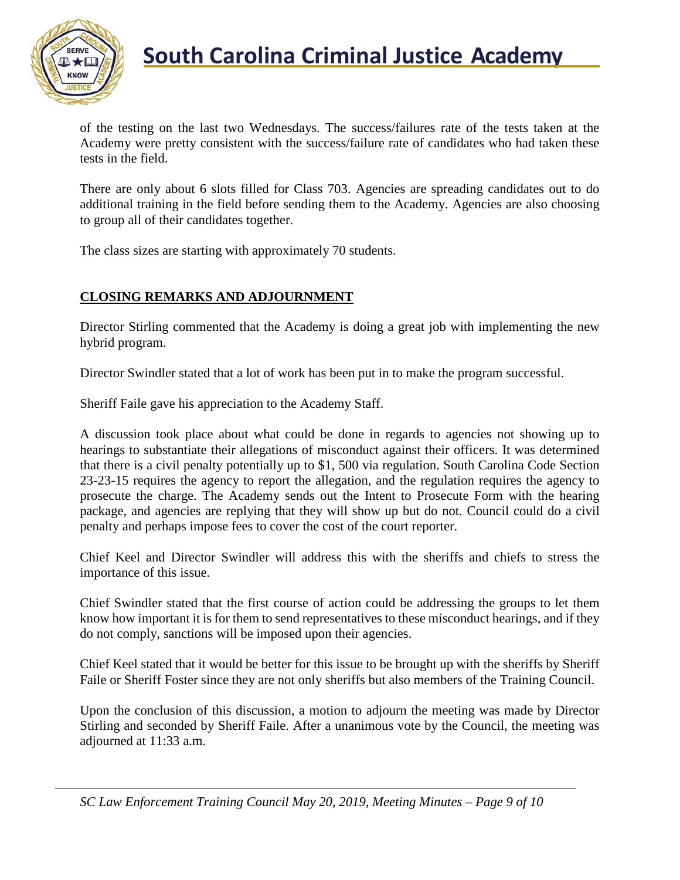

## **South Carolina Criminal Justice Academy**<br>KNOW 2008

of the testing on the last two Wednesdays. The success/failures rate of the tests taken at the Academy were pretty consistent with the success/failure rate of candidates who had taken these tests in the field.

There are only about 6 slots filled for Class 703. Agencies are spreading candidates out to do additional training in the field before sending them to the Academy. Agencies are also choosing to group all of their candidates together.

The class sizes are starting with approximately 70 students.

## **CLOSING REMARKS AND ADJOURNMENT**

Director Stirling commented that the Academy is doing a great job with implementing the new hybrid program.

Director Swindler stated that a lot of work has been put in to make the program successful.

Sheriff Faile gave his appreciation to the Academy Staff.

A discussion took place about what could be done in regards to agencies not showing up to hearings to substantiate their allegations of misconduct against their officers. It was determined that there is a civil penalty potentially up to \$1, 500 via regulation. South Carolina Code Section 23-23-15 requires the agency to report the allegation, and the regulation requires the agency to prosecute the charge. The Academy sends out the Intent to Prosecute Form with the hearing package, and agencies are replying that they will show up but do not. Council could do a civil penalty and perhaps impose fees to cover the cost of the court reporter.

Chief Keel and Director Swindler will address this with the sheriffs and chiefs to stress the importance of this issue.

Chief Swindler stated that the first course of action could be addressing the groups to let them know how important it is for them to send representatives to these misconduct hearings, and if they do not comply, sanctions will be imposed upon their agencies.

Chief Keel stated that it would be better for this issue to be brought up with the sheriffs by Sheriff Faile or Sheriff Foster since they are not only sheriffs but also members of the Training Council.

Upon the conclusion of this discussion, a motion to adjourn the meeting was made by Director Stirling and seconded by Sheriff Faile. After a unanimous vote by the Council, the meeting was adjourned at 11:33 a.m.